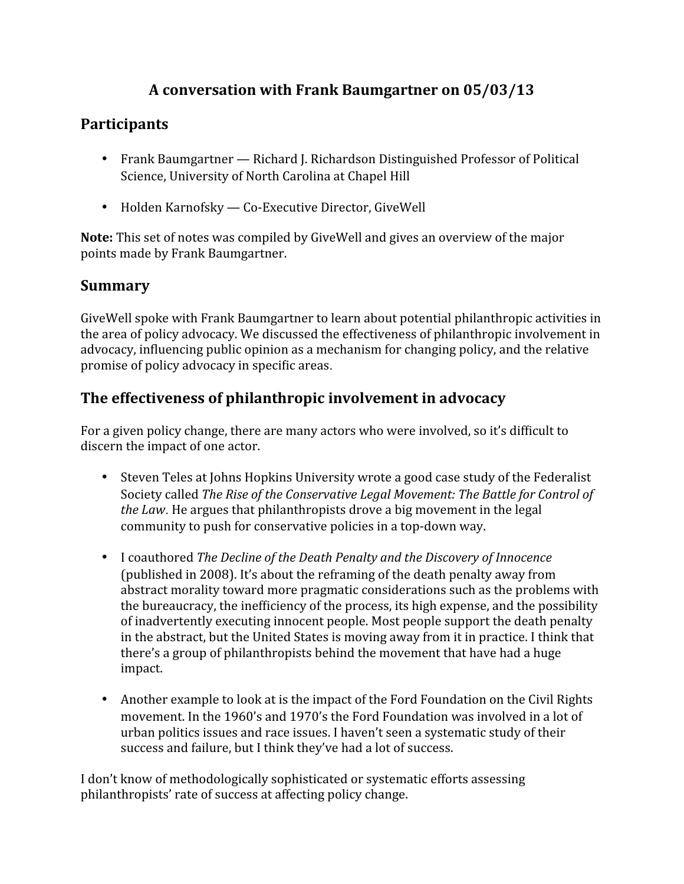# **A conversation with Frank Baumgartner on 05/03/13**

## **Participants**

- Frank Baumgartner Richard J. Richardson Distinguished Professor of Political Science, University of North Carolina at Chapel Hill
- Holden Karnofsky Co-Executive Director, GiveWell

**Note:** This set of notes was compiled by GiveWell and gives an overview of the major points made by Frank Baumgartner.

## **Summary**

GiveWell spoke with Frank Baumgartner to learn about potential philanthropic activities in the area of policy advocacy. We discussed the effectiveness of philanthropic involvement in advocacy, influencing public opinion as a mechanism for changing policy, and the relative promise of policy advocacy in specific areas.

# **The effectiveness of philanthropic involvement in advocacy**

For a given policy change, there are many actors who were involved, so it's difficult to discern the impact of one actor.

- Steven Teles at Johns Hopkins University wrote a good case study of the Federalist Society called *The Rise of the Conservative Legal Movement: The Battle for Control of the Law*. He argues that philanthropists drove a big movement in the legal community to push for conservative policies in a top-down way.
- I coauthored *The Decline of the Death Penalty and the Discovery of Innocence* (published in 2008). It's about the reframing of the death penalty away from abstract morality toward more pragmatic considerations such as the problems with the bureaucracy, the inefficiency of the process, its high expense, and the possibility of inadvertently executing innocent people. Most people support the death penalty in the abstract, but the United States is moving away from it in practice. I think that there's a group of philanthropists behind the movement that have had a huge impact.
- Another example to look at is the impact of the Ford Foundation on the Civil Rights movement. In the 1960's and 1970's the Ford Foundation was involved in a lot of urban politics issues and race issues. I haven't seen a systematic study of their success and failure, but I think they've had a lot of success.

I don't know of methodologically sophisticated or systematic efforts assessing philanthropists' rate of success at affecting policy change.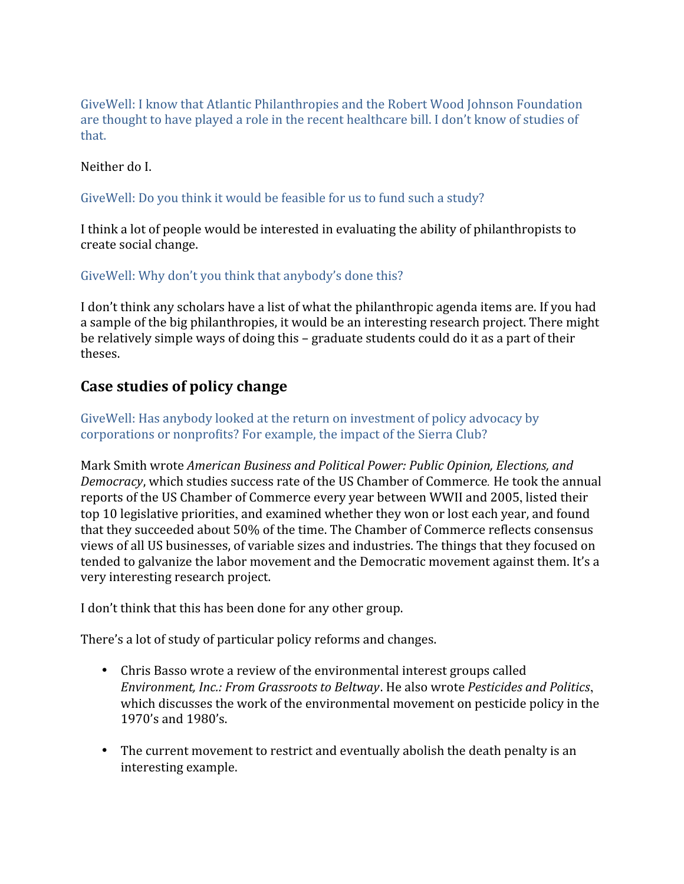GiveWell: I know that Atlantic Philanthropies and the Robert Wood Johnson Foundation are thought to have played a role in the recent healthcare bill. I don't know of studies of that.

Neither do I.

### GiveWell: Do you think it would be feasible for us to fund such a study?

I think a lot of people would be interested in evaluating the ability of philanthropists to create social change.

GiveWell: Why don't you think that anybody's done this?

I don't think any scholars have a list of what the philanthropic agenda items are. If you had a sample of the big philanthropies, it would be an interesting research project. There might be relatively simple ways of doing this – graduate students could do it as a part of their theses.

### **Case studies of policy change**

GiveWell: Has anybody looked at the return on investment of policy advocacy by corporations or nonprofits? For example, the impact of the Sierra Club?

Mark Smith wrote *American Business and Political Power: Public Opinion, Elections, and Democracy*, which studies success rate of the US Chamber of Commerce*.* He took the annual reports of the US Chamber of Commerce every year between WWII and 2005, listed their top 10 legislative priorities, and examined whether they won or lost each year, and found that they succeeded about 50% of the time. The Chamber of Commerce reflects consensus views of all US businesses, of variable sizes and industries. The things that they focused on tended to galvanize the labor movement and the Democratic movement against them. It's a very interesting research project.

I don't think that this has been done for any other group.

There's a lot of study of particular policy reforms and changes.

- Chris Basso wrote a review of the environmental interest groups called *Environment, Inc.: From Grassroots to Beltway*. He also wrote *Pesticides and Politics*, which discusses the work of the environmental movement on pesticide policy in the 1970's and 1980's.
- The current movement to restrict and eventually abolish the death penalty is an interesting example.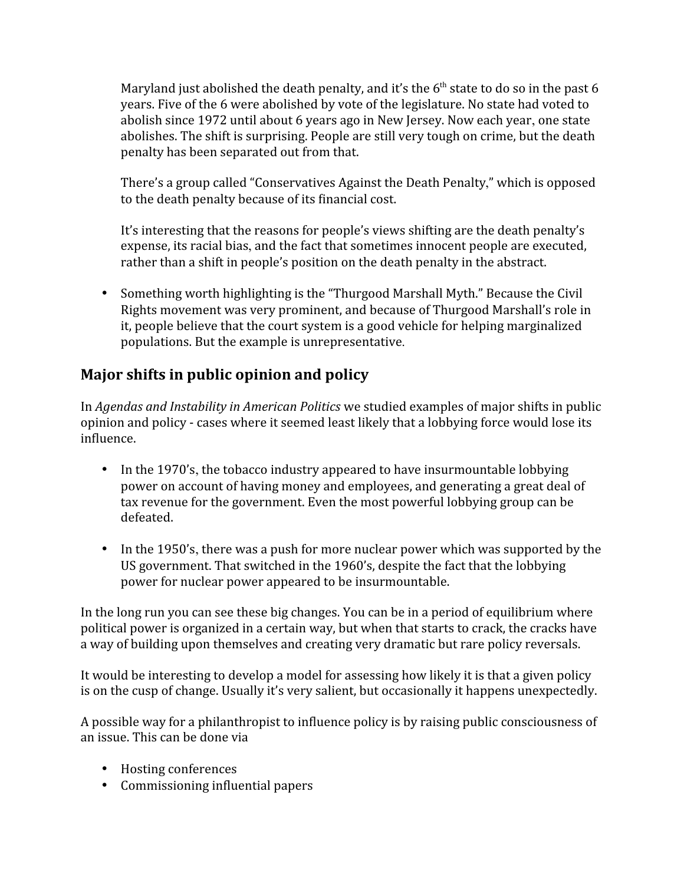Maryland just abolished the death penalty, and it's the  $6<sup>th</sup>$  state to do so in the past 6 years. Five of the 6 were abolished by vote of the legislature. No state had voted to abolish since 1972 until about 6 years ago in New Jersey. Now each year, one state abolishes. The shift is surprising. People are still very tough on crime, but the death penalty has been separated out from that.

There's a group called "Conservatives Against the Death Penalty," which is opposed to the death penalty because of its financial cost.

It's interesting that the reasons for people's views shifting are the death penalty's expense, its racial bias, and the fact that sometimes innocent people are executed, rather than a shift in people's position on the death penalty in the abstract.

• Something worth highlighting is the "Thurgood Marshall Myth." Because the Civil Rights movement was very prominent, and because of Thurgood Marshall's role in it, people believe that the court system is a good vehicle for helping marginalized populations. But the example is unrepresentative.

# **Major shifts in public opinion and policy**

In *Agendas and Instability in American Politics* we studied examples of major shifts in public opinion and policy - cases where it seemed least likely that a lobbying force would lose its influence.

- In the 1970's, the tobacco industry appeared to have insurmountable lobbying power on account of having money and employees, and generating a great deal of tax revenue for the government. Even the most powerful lobbying group can be defeated.
- In the 1950's, there was a push for more nuclear power which was supported by the US government. That switched in the 1960's, despite the fact that the lobbying power for nuclear power appeared to be insurmountable.

In the long run you can see these big changes. You can be in a period of equilibrium where political power is organized in a certain way, but when that starts to crack, the cracks have a way of building upon themselves and creating very dramatic but rare policy reversals.

It would be interesting to develop a model for assessing how likely it is that a given policy is on the cusp of change. Usually it's very salient, but occasionally it happens unexpectedly.

A possible way for a philanthropist to influence policy is by raising public consciousness of an issue. This can be done via

- Hosting conferences
- Commissioning influential papers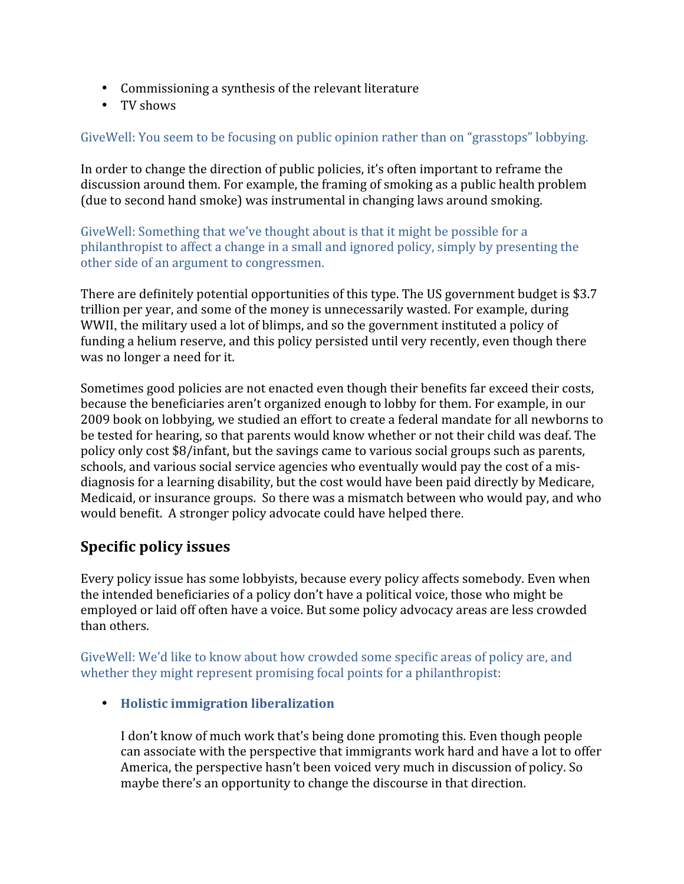- Commissioning a synthesis of the relevant literature
- TV shows

GiveWell: You seem to be focusing on public opinion rather than on "grasstops" lobbying.

In order to change the direction of public policies, it's often important to reframe the discussion around them. For example, the framing of smoking as a public health problem (due to second hand smoke) was instrumental in changing laws around smoking.

GiveWell: Something that we've thought about is that it might be possible for a philanthropist to affect a change in a small and ignored policy, simply by presenting the other side of an argument to congressmen.

There are definitely potential opportunities of this type. The US government budget is \$3.7 trillion per year, and some of the money is unnecessarily wasted. For example, during WWII, the military used a lot of blimps, and so the government instituted a policy of funding a helium reserve, and this policy persisted until very recently, even though there was no longer a need for it.

Sometimes good policies are not enacted even though their benefits far exceed their costs, because the beneficiaries aren't organized enough to lobby for them. For example, in our 2009 book on lobbying, we studied an effort to create a federal mandate for all newborns to be tested for hearing, so that parents would know whether or not their child was deaf. The policy only cost \$8/infant, but the savings came to various social groups such as parents, schools, and various social service agencies who eventually would pay the cost of a misdiagnosis for a learning disability, but the cost would have been paid directly by Medicare, Medicaid, or insurance groups. So there was a mismatch between who would pay, and who would benefit. A stronger policy advocate could have helped there.

### **Specific policy issues**

Every policy issue has some lobbyists, because every policy affects somebody. Even when the intended beneficiaries of a policy don't have a political voice, those who might be employed or laid off often have a voice. But some policy advocacy areas are less crowded than others.

GiveWell: We'd like to know about how crowded some specific areas of policy are, and whether they might represent promising focal points for a philanthropist:

• **Holistic immigration liberalization**

I don't know of much work that's being done promoting this. Even though people can associate with the perspective that immigrants work hard and have a lot to offer America, the perspective hasn't been voiced very much in discussion of policy. So maybe there's an opportunity to change the discourse in that direction.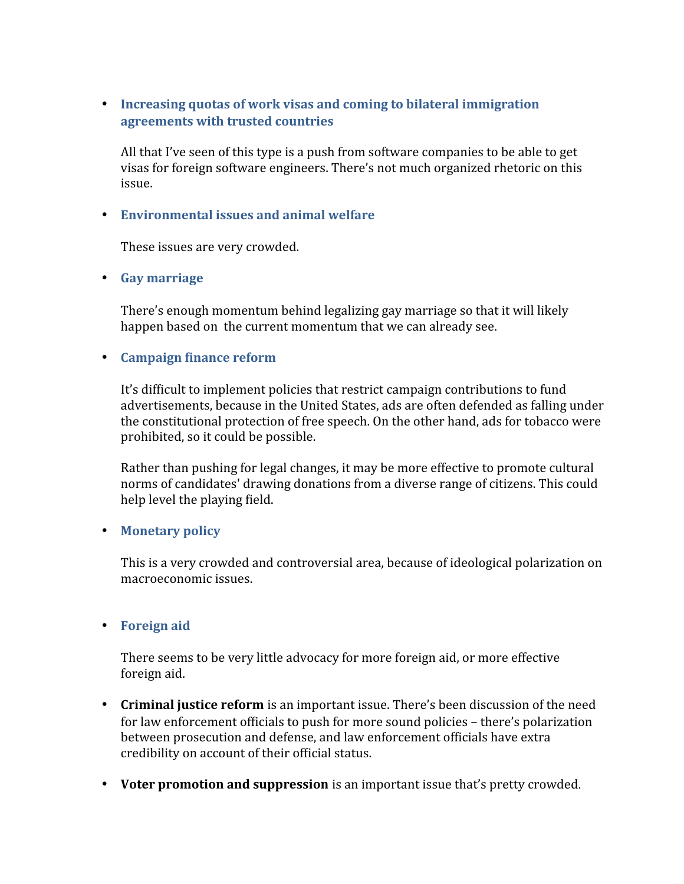• **Increasing quotas of work visas and coming to bilateral immigration agreements with trusted countries**

All that I've seen of this type is a push from software companies to be able to get visas for foreign software engineers. There's not much organized rhetoric on this issue.

#### • **Environmental issues and animal welfare**

These issues are very crowded.

• **Gay marriage**

There's enough momentum behind legalizing gay marriage so that it will likely happen based on the current momentum that we can already see.

#### • **Campaign finance reform**

It's difficult to implement policies that restrict campaign contributions to fund advertisements, because in the United States, ads are often defended as falling under the constitutional protection of free speech. On the other hand, ads for tobacco were prohibited, so it could be possible.

Rather than pushing for legal changes, it may be more effective to promote cultural norms of candidates' drawing donations from a diverse range of citizens. This could help level the playing field.

#### • **Monetary policy**

This is a very crowded and controversial area, because of ideological polarization on macroeconomic issues.

#### • **Foreign aid**

There seems to be very little advocacy for more foreign aid, or more effective foreign aid.

- **Criminal justice reform** is an important issue. There's been discussion of the need for law enforcement officials to push for more sound policies – there's polarization between prosecution and defense, and law enforcement officials have extra credibility on account of their official status.
- **Voter promotion and suppression** is an important issue that's pretty crowded.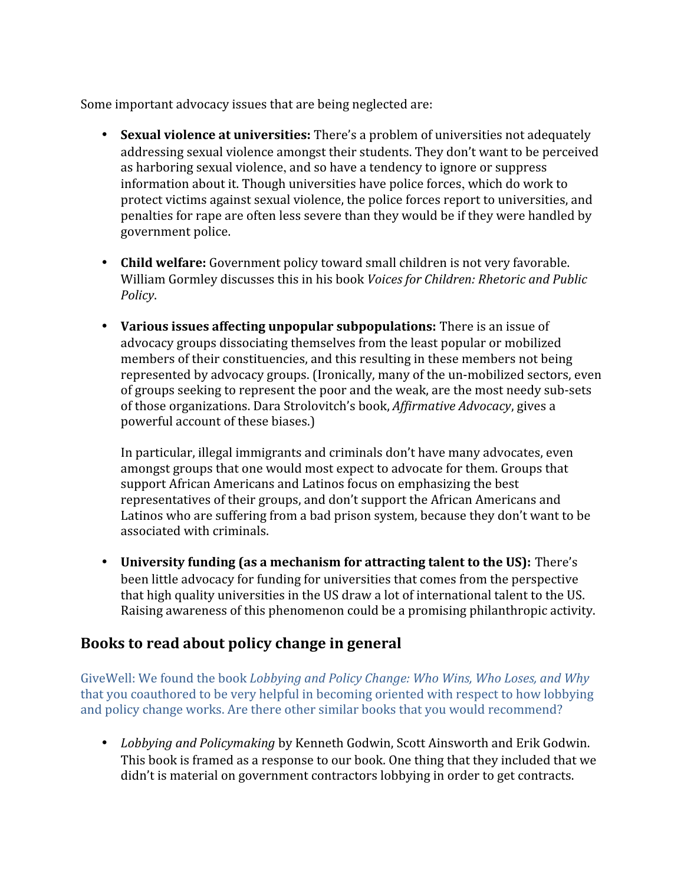Some important advocacy issues that are being neglected are:

- **Sexual violence at universities:** There's a problem of universities not adequately addressing sexual violence amongst their students. They don't want to be perceived as harboring sexual violence, and so have a tendency to ignore or suppress information about it. Though universities have police forces, which do work to protect victims against sexual violence, the police forces report to universities, and penalties for rape are often less severe than they would be if they were handled by government police.
- **Child welfare:** Government policy toward small children is not very favorable. William Gormley discusses this in his book *Voices for Children: Rhetoric and Public Policy*.
- **Various issues affecting unpopular subpopulations:** There is an issue of advocacy groups dissociating themselves from the least popular or mobilized members of their constituencies, and this resulting in these members not being represented by advocacy groups. (Ironically, many of the un-mobilized sectors, even of groups seeking to represent the poor and the weak, are the most needy sub-sets of those organizations. Dara Strolovitch's book, *Affirmative Advocacy*, gives a powerful account of these biases.)

In particular, illegal immigrants and criminals don't have many advocates, even amongst groups that one would most expect to advocate for them. Groups that support African Americans and Latinos focus on emphasizing the best representatives of their groups, and don't support the African Americans and Latinos who are suffering from a bad prison system, because they don't want to be associated with criminals.

• **University funding (as a mechanism for attracting talent to the US):** There's been little advocacy for funding for universities that comes from the perspective that high quality universities in the US draw a lot of international talent to the US. Raising awareness of this phenomenon could be a promising philanthropic activity.

# **Books to read about policy change in general**

GiveWell: We found the book *Lobbying and Policy Change: Who Wins, Who Loses, and Why* that you coauthored to be very helpful in becoming oriented with respect to how lobbying and policy change works. Are there other similar books that you would recommend?

• *Lobbying and Policymaking* by Kenneth Godwin, Scott Ainsworth and Erik Godwin. This book is framed as a response to our book. One thing that they included that we didn't is material on government contractors lobbying in order to get contracts.